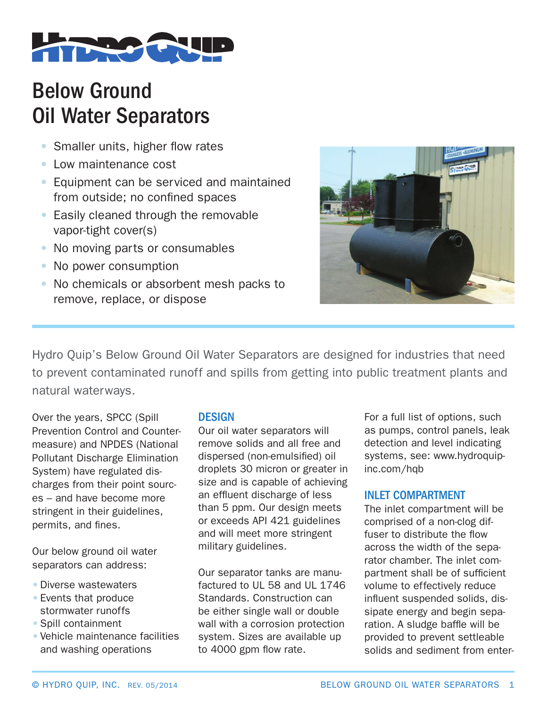

# Below Ground Oil Water Separators

- Smaller units, higher flow rates
- Low maintenance cost
- Equipment can be serviced and maintained from outside; no confined spaces
- Easily cleaned through the removable vapor-tight cover(s)
- No moving parts or consumables
- No power consumption
- No chemicals or absorbent mesh packs to remove, replace, or dispose



Hydro Quip's Below Ground Oil Water Separators are designed for industries that need to prevent contaminated runoff and spills from getting into public treatment plants and natural waterways.

Over the years, SPCC (Spill Prevention Control and Countermeasure) and NPDES (National Pollutant Discharge Elimination System) have regulated discharges from their point sources – and have become more stringent in their guidelines, permits, and fines.

Our below ground oil water separators can address:

- •Diverse wastewaters
- •Events that produce stormwater runoffs
- •Spill containment
- Vehicle maintenance facilities and washing operations

#### **DESIGN**

Our oil water separators will remove solids and all free and dispersed (non-emulsified) oil droplets 30 micron or greater in size and is capable of achieving an effluent discharge of less than 5 ppm. Our design meets or exceeds API 421 guidelines and will meet more stringent military guidelines.

Our separator tanks are manufactured to UL 58 and UL 1746 Standards. Construction can be either single wall or double wall with a corrosion protection system. Sizes are available up to 4000 gpm flow rate.

For a full list of options, such as pumps, control panels, leak detection and level indicating systems, see: www.hydroquipinc.com/hqb

### INLET COMPARTMENT

The inlet compartment will be comprised of a non-clog diffuser to distribute the flow across the width of the separator chamber. The inlet compartment shall be of sufficient volume to effectively reduce influent suspended solids, dissipate energy and begin separation. A sludge baffle will be provided to prevent settleable solids and sediment from enter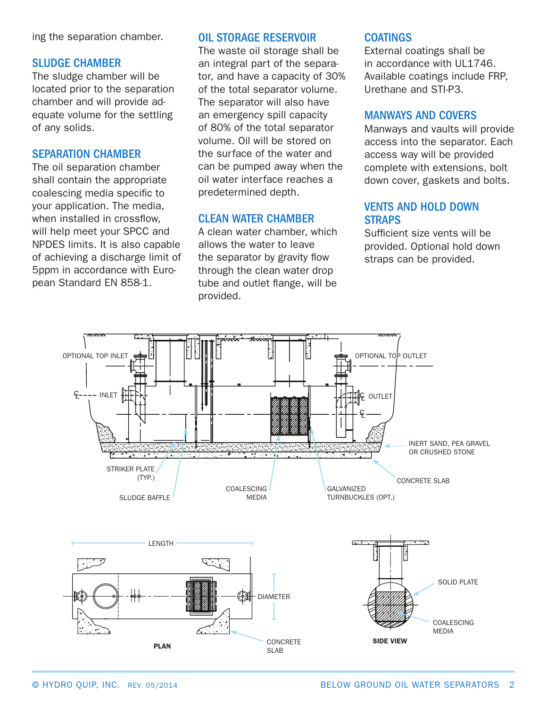ing the separation chamber.

#### SLUDGE CHAMBER

The sludge chamber will be located prior to the separation chamber and will provide adequate volume for the settling of any solids.

#### SEPARATION CHAMBER

The oil separation chamber shall contain the appropriate coalescing media specific to your application. The media, when installed in crossflow, will help meet your SPCC and NPDES limits. It is also capable of achieving a discharge limit of 5ppm in accordance with European Standard EN 858-1.

#### OIL STORAGE RESERVOIR

The waste oil storage shall be an integral part of the separator, and have a capacity of 30% of the total separator volume. The separator will also have an emergency spill capacity of 80% of the total separator volume. Oil will be stored on the surface of the water and can be pumped away when the oil water interface reaches a predetermined depth.

#### CLEAN WATER CHAMBER

A clean water chamber, which allows the water to leave the separator by gravity flow through the clean water drop tube and outlet flange, will be provided.

#### COATINGS

External coatings shall be in accordance with UL1746. Available coatings include FRP, Urethane and STI-P3.

#### MANWAYS AND COVERS

Manways and vaults will provide access into the separator. Each access way will be provided complete with extensions, bolt down cover, gaskets and bolts.

#### VENTS AND HOLD DOWN **STRAPS**

Sufficient size vents will be provided. Optional hold down straps can be provided.

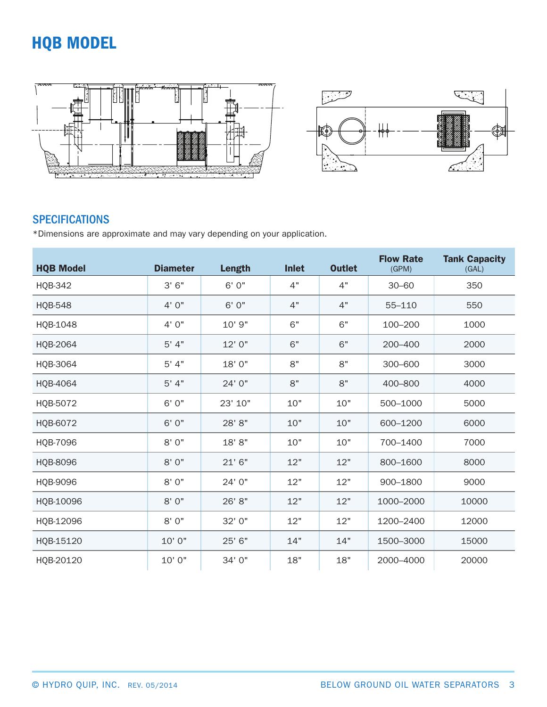## HQB MODEL



## **SPECIFICATIONS**

\*Dimensions are approximate and may vary depending on your application.

| <b>HQB Model</b> | <b>Diameter</b> | <b>Length</b> | <b>Inlet</b> | <b>Outlet</b> | <b>Flow Rate</b><br>(GPM) | <b>Tank Capacity</b><br>(GAL) |
|------------------|-----------------|---------------|--------------|---------------|---------------------------|-------------------------------|
| <b>HQB-342</b>   | 3'6''           | 6' 0"         | 4"           | 4"            | $30 - 60$                 | 350                           |
| <b>HQB-548</b>   | 4'0''           | 6' 0"         | 4"           | 4"            | 55-110                    | 550                           |
| HQB-1048         | 4' 0"           | 10' 9"        | 6"           | 6"            | 100-200                   | 1000                          |
| HQB-2064         | 5' 4"           | 12' 0"        | 6"           | 6"            | 200-400                   | 2000                          |
| HQB-3064         | 5' 4"           | 18' 0"        | 8"           | 8"            | 300-600                   | 3000                          |
| HQB-4064         | 5' 4"           | 24' 0"        | 8"           | 8"            | 400-800                   | 4000                          |
| HQB-5072         | 6' 0"           | 23' 10"       | 10"          | 10"           | 500-1000                  | 5000                          |
| HQB-6072         | 6'0''           | 28' 8"        | 10"          | 10"           | 600-1200                  | 6000                          |
| HQB-7096         | 8'0"            | 18' 8"        | 10"          | 10"           | 700-1400                  | 7000                          |
| HQB-8096         | 8'0"            | 21'6''        | 12"          | 12"           | 800-1600                  | 8000                          |
| HQB-9096         | 8'0''           | 24' 0"        | 12"          | 12"           | 900-1800                  | 9000                          |
| HQB-10096        | 8'0"            | 26' 8"        | 12"          | 12"           | 1000-2000                 | 10000                         |
| HQB-12096        | 8' 0"           | 32' 0"        | 12"          | 12"           | 1200-2400                 | 12000                         |
| HQB-15120        | 10' 0"          | 25' 6"        | 14"          | 14"           | 1500-3000                 | 15000                         |
| HQB-20120        | 10' 0"          | 34' 0"        | 18"          | 18"           | 2000-4000                 | 20000                         |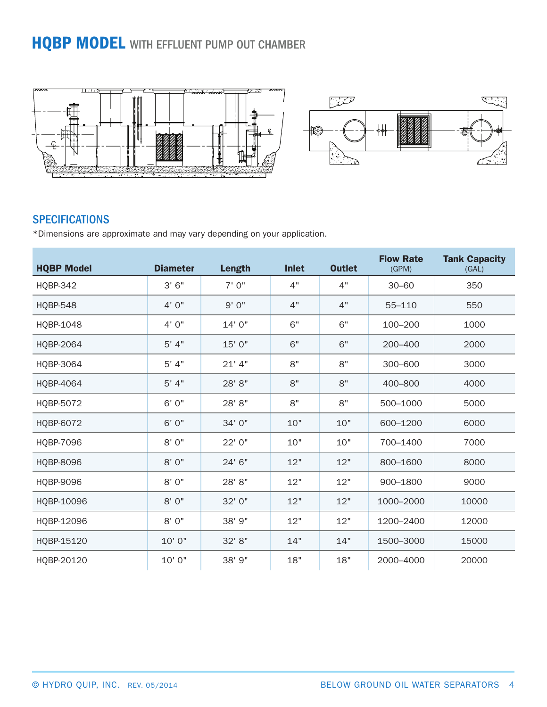## **HQBP MODEL WITH EFFLUENT PUMP OUT CHAMBER**



### **SPECIFICATIONS**

\*Dimensions are approximate and may vary depending on your application.

| <b>HQBP Model</b> | <b>Diameter</b> | <b>Length</b> | <b>Inlet</b> | <b>Outlet</b> | <b>Flow Rate</b><br>(GPM) | <b>Tank Capacity</b><br>(GAL) |
|-------------------|-----------------|---------------|--------------|---------------|---------------------------|-------------------------------|
| <b>HQBP-342</b>   | 3'6''           | 7'0"          | 4"           | 4"            | $30 - 60$                 | 350                           |
| <b>HQBP-548</b>   | 4' 0"           | 9'0"          | 4"           | 4"            | 55-110                    | 550                           |
| HQBP-1048         | 4'0''           | 14' 0"        | 6"           | 6"            | 100-200                   | 1000                          |
| HQBP-2064         | 5' 4"           | 15' 0"        | 6"           | 6"            | 200-400                   | 2000                          |
| HQBP-3064         | 5' 4"           | $21'$ 4"      | 8"           | 8"            | 300-600                   | 3000                          |
| HQBP-4064         | 5' 4"           | 28' 8"        | 8"           | 8"            | 400-800                   | 4000                          |
| HQBP-5072         | 6' 0"           | 28' 8"        | 8"           | 8"            | 500-1000                  | 5000                          |
| HQBP-6072         | 6' 0"           | 34' 0"        | 10"          | 10"           | 600-1200                  | 6000                          |
| HQBP-7096         | 8'0''           | 22' 0"        | 10"          | 10"           | 700-1400                  | 7000                          |
| <b>HQBP-8096</b>  | 8'0''           | 24' 6"        | 12"          | 12"           | 800-1600                  | 8000                          |
| HQBP-9096         | 8'0''           | 28' 8"        | 12"          | 12"           | 900-1800                  | 9000                          |
| HQBP-10096        | 8'0''           | 32' 0"        | 12"          | 12"           | 1000-2000                 | 10000                         |
| HQBP-12096        | 8'0''           | 38' 9"        | 12"          | 12"           | 1200-2400                 | 12000                         |
| HQBP-15120        | 10' 0"          | 32' 8"        | 14"          | 14"           | 1500-3000                 | 15000                         |
| HQBP-20120        | 10' 0"          | 38' 9"        | 18"          | 18"           | 2000-4000                 | 20000                         |